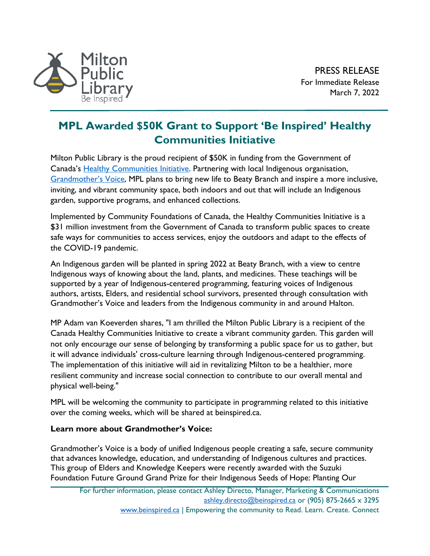

## **MPL Awarded \$50K Grant to Support 'Be Inspired' Healthy Communities Initiative**

Milton Public Library is the proud recipient of \$50K in funding from the Government of Canada's [Healthy Communities Initiative.](https://communityfoundations.ca/initiatives/chci/) Partnering with local Indigenous organisation, [Grandmother's Voice,](https://www.grandmothersvoice.com/) MPL plans to bring new life to Beaty Branch and inspire a more inclusive, inviting, and vibrant community space, both indoors and out that will include an Indigenous garden, supportive programs, and enhanced collections.

Implemented by Community Foundations of Canada, the Healthy Communities Initiative is a \$31 million investment from the Government of Canada to transform public spaces to create safe ways for communities to access services, enjoy the outdoors and adapt to the effects of the COVID-19 pandemic.

An Indigenous garden will be planted in spring 2022 at Beaty Branch, with a view to centre Indigenous ways of knowing about the land, plants, and medicines. These teachings will be supported by a year of Indigenous-centered programming, featuring voices of Indigenous authors, artists, Elders, and residential school survivors, presented through consultation with Grandmother's Voice and leaders from the Indigenous community in and around Halton.

MP Adam van Koeverden shares, "I am thrilled the Milton Public Library is a recipient of the Canada Healthy Communities Initiative to create a vibrant community garden. This garden will not only encourage our sense of belonging by transforming a public space for us to gather, but it will advance individuals' cross-culture learning through Indigenous-centered programming. The implementation of this initiative will aid in revitalizing Milton to be a healthier, more resilient community and increase social connection to contribute to our overall mental and physical well-being."

MPL will be welcoming the community to participate in programming related to this initiative over the coming weeks, which will be shared at beinspired.ca.

## **Learn more about Grandmother's Voice:**

Grandmother's Voice is a body of unified Indigenous people creating a safe, secure community that advances knowledge, education, and understanding of Indigenous cultures and practices. This group of Elders and Knowledge Keepers were recently awarded with the Suzuki Foundation Future Ground Grand Prize for their Indigenous Seeds of Hope: Planting Our